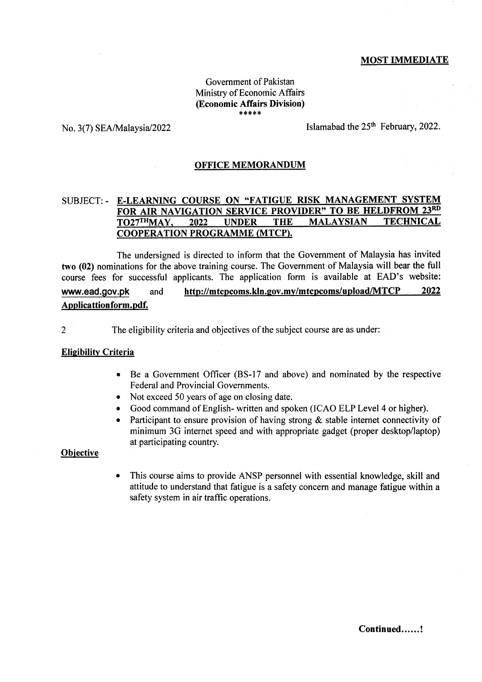# MOST IMMEDIATE

### Govemment of Pakistan Ministry of Economic Affairs @conomic Affairs Division)  $****$

No. 3(7) SEA/Malaysia/2022 Islamabad the  $25<sup>th</sup>$  February, 2022.

## OFFICE MEMORANDUM

#### E-LEARNING COURSE ON "FATIGUE RISK MANAGEMENT SYSTEM SUBJECT:. FOR AIR NAVIGATION SERVICE PROVIDER" TO BE HELDFROM 23RD TO27THMAY, 2022 **UNDER THE MALAYSIAN TECHNICAL** COOPERATION PROGRAMME (MTCP).

The undersigned is directed to inform that the Government of Malaysia has invited two (02) nominations for the above training course. The Government of Malaysia will bear the full course fees for successful applicants. The application form is available at EAD's website: www.ead.gov.pk and http://mtcpcoms.kln.gov.my/mtcpcoms/upload/MTCP 2022 Applicattionform.pdf.

2 The eligibility criteria and objectives of the subject course are as under:

# Elieibilitv Criteria

- Be a Government Officer (BS-17 and above) and nominated by the respective Federal and Provincial Governments.
- Not exceed 50 years of age on closing date.
- Good command of English- written and spoken (ICAO ELP Level 4 or higher).
- Participant to ensure provision of having strong  $\&$  stable internet connectivity of minimum 3G internet speed and with appropriate gadget (proper desktop/laptop) at participating country.

#### **Objective**

This course aims to provide ANSP personnel with essential knowledge, skill and attitude to understand that fatigue is a safety concern and manage fatigue within a safety system in air traffic operations.